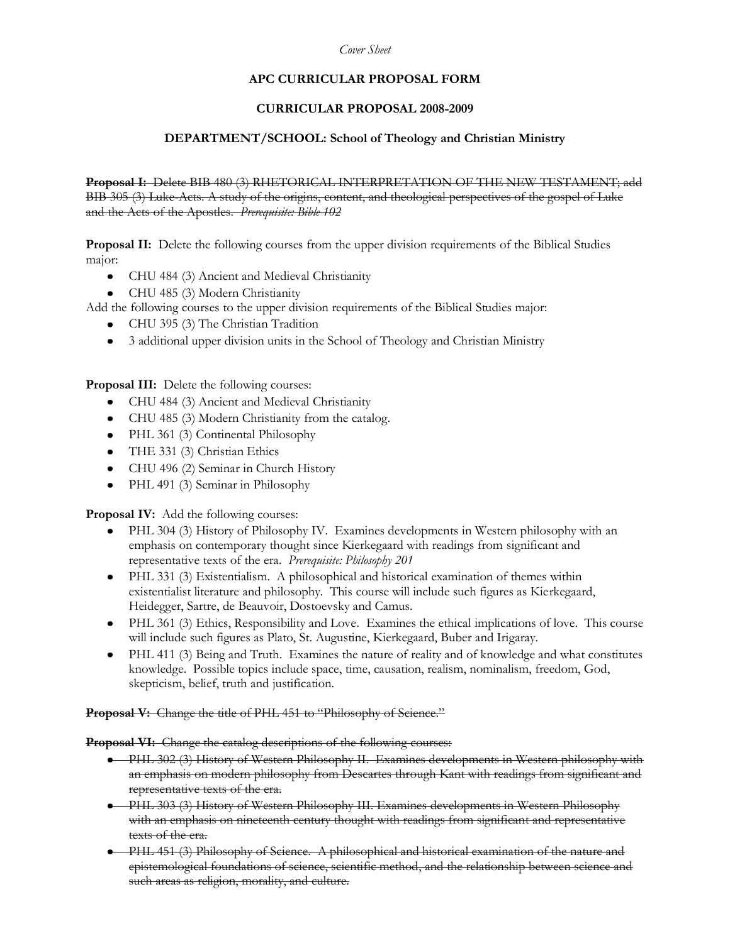#### *Cover Sheet*

# **APC CURRICULAR PROPOSAL FORM**

#### **CURRICULAR PROPOSAL 2008-2009**

#### **DEPARTMENT/SCHOOL: School of Theology and Christian Ministry**

**Proposal I:** Delete BIB 480 (3) RHETORICAL INTERPRETATION OF THE NEW TESTAMENT; add BIB 305 (3) Luke-Acts. A study of the origins, content, and theological perspectives of the gospel of Luke and the Acts of the Apostles. *Prerequisite: Bible 102*

**Proposal II:** Delete the following courses from the upper division requirements of the Biblical Studies major:

- CHU 484 (3) Ancient and Medieval Christianity
- CHU 485 (3) Modern Christianity
- Add the following courses to the upper division requirements of the Biblical Studies major:
	- CHU 395 (3) The Christian Tradition  $\bullet$
	- 3 additional upper division units in the School of Theology and Christian Ministry  $\bullet$

**Proposal III:** Delete the following courses:

- CHU 484 (3) Ancient and Medieval Christianity
- CHU 485 (3) Modern Christianity from the catalog.
- PHL 361 (3) Continental Philosophy
- THE 331 (3) Christian Ethics
- CHU 496 (2) Seminar in Church History  $\bullet$
- PHL 491 (3) Seminar in Philosophy  $\bullet$

**Proposal IV:** Add the following courses:

- PHL 304 (3) History of Philosophy IV. Examines developments in Western philosophy with an emphasis on contemporary thought since Kierkegaard with readings from significant and representative texts of the era. *Prerequisite: Philosophy 201*
- PHL 331 (3) Existentialism. A philosophical and historical examination of themes within existentialist literature and philosophy. This course will include such figures as Kierkegaard, Heidegger, Sartre, de Beauvoir, Dostoevsky and Camus.
- PHL 361 (3) Ethics, Responsibility and Love. Examines the ethical implications of love. This course will include such figures as Plato, St. Augustine, Kierkegaard, Buber and Irigaray.
- PHL 411 (3) Being and Truth. Examines the nature of reality and of knowledge and what constitutes knowledge. Possible topics include space, time, causation, realism, nominalism, freedom, God, skepticism, belief, truth and justification.

**Proposal V:** Change the title of PHL 451 to "Philosophy of Science."

**Proposal VI:** Change the catalog descriptions of the following courses:

- PHL 302 (3) History of Western Philosophy II. Examines developments in Western philosophy with an emphasis on modern philosophy from Descartes through Kant with readings from significant and representative texts of the era.
- PHL 303 (3) History of Western Philosophy III. Examines developments in Western Philosophy with an emphasis on nineteenth century thought with readings from significant and representative texts of the era.
- PHL 451 (3) Philosophy of Science. A philosophical and historical examination of the nature and epistemological foundations of science, scientific method, and the relationship between science and such areas as religion, morality, and culture.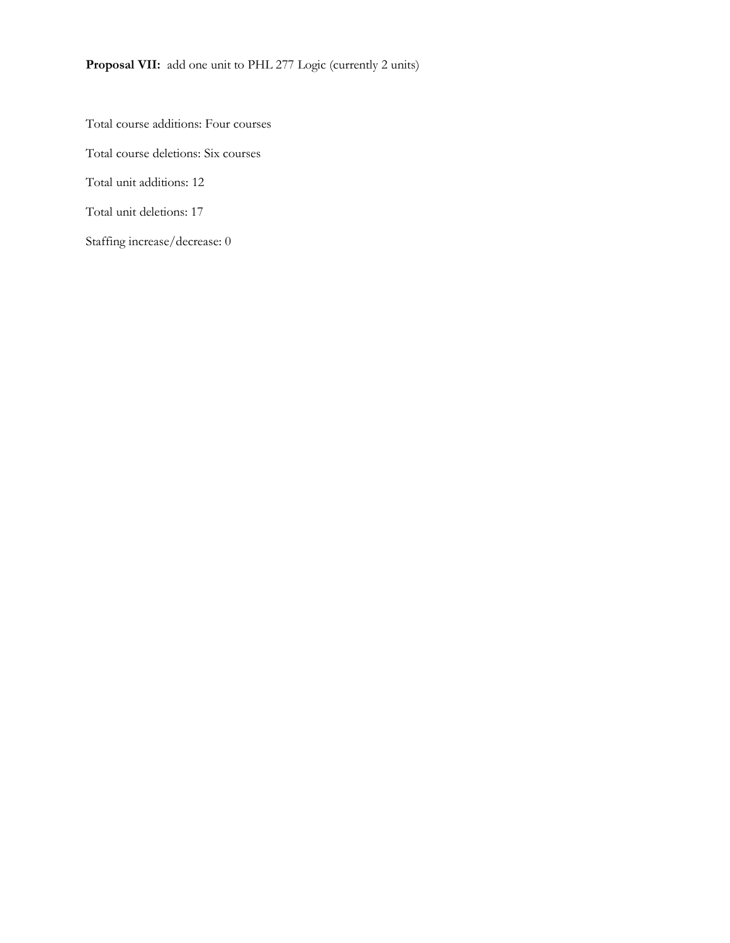Proposal VII: add one unit to PHL 277 Logic (currently 2 units)

Total course additions: Four courses Total course deletions: Six courses Total unit additions: 12 Total unit deletions: 17 Staffing increase/decrease: 0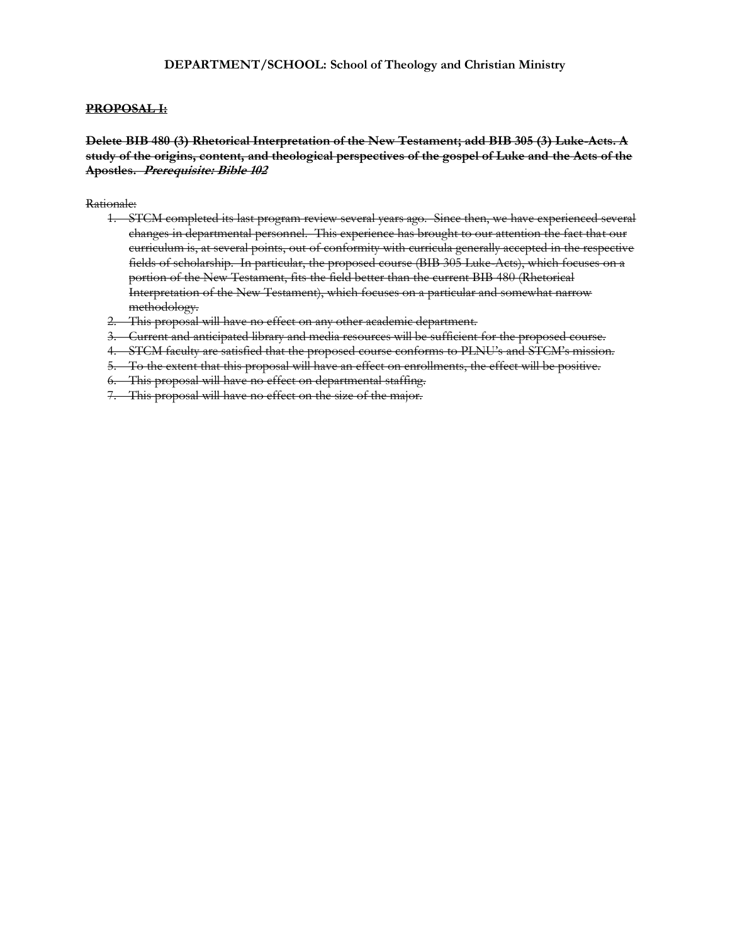#### **PROPOSAL I:**

**Delete BIB 480 (3) Rhetorical Interpretation of the New Testament; add BIB 305 (3) Luke-Acts. A study of the origins, content, and theological perspectives of the gospel of Luke and the Acts of the Apostles. Prerequisite: Bible 102**

- 1. STCM completed its last program review several years ago. Since then, we have experienced several changes in departmental personnel. This experience has brought to our attention the fact that our curriculum is, at several points, out of conformity with curricula generally accepted in the respective fields of scholarship. In particular, the proposed course (BIB 305 Luke-Acts), which focuses on a portion of the New Testament, fits the field better than the current BIB 480 (Rhetorical Interpretation of the New Testament), which focuses on a particular and somewhat narrow methodology.
- 2. This proposal will have no effect on any other academic department.
- 3. Current and anticipated library and media resources will be sufficient for the proposed course.
- 4. STCM faculty are satisfied that the proposed course conforms to PLNU's and STCM's mission.
- 5. To the extent that this proposal will have an effect on enrollments, the effect will be positive.
- 6. This proposal will have no effect on departmental staffing.
- 7. This proposal will have no effect on the size of the major.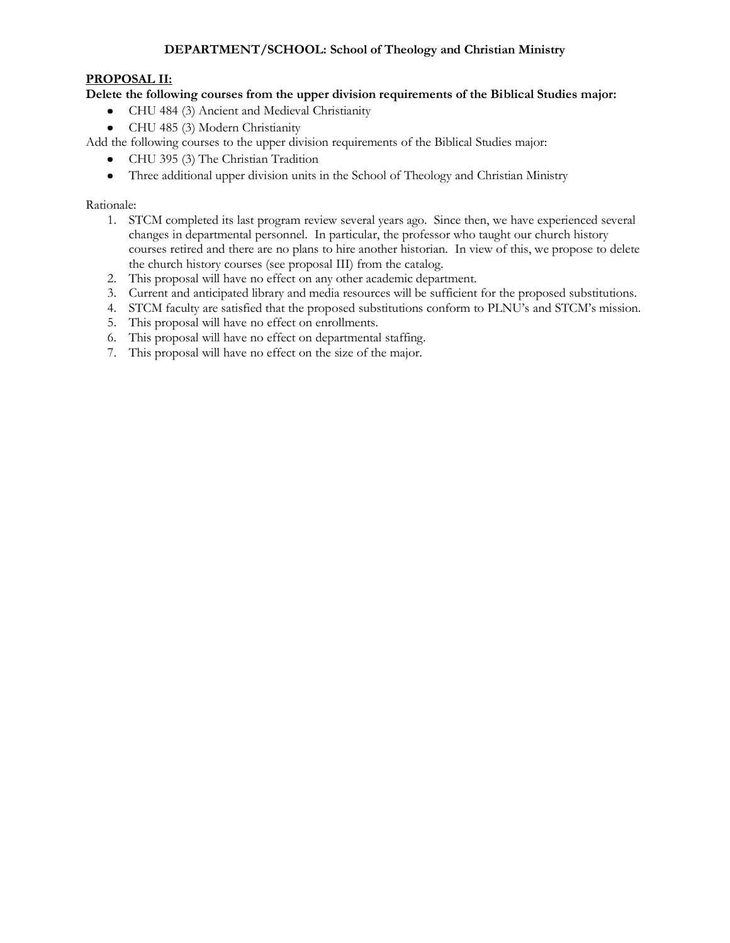# **PROPOSAL II:**

**Delete the following courses from the upper division requirements of the Biblical Studies major:** 

- CHU 484 (3) Ancient and Medieval Christianity
- CHU 485 (3) Modern Christianity

Add the following courses to the upper division requirements of the Biblical Studies major:

- CHU 395 (3) The Christian Tradition
- Three additional upper division units in the School of Theology and Christian Ministry  $\bullet$

- 1. STCM completed its last program review several years ago. Since then, we have experienced several changes in departmental personnel. In particular, the professor who taught our church history courses retired and there are no plans to hire another historian. In view of this, we propose to delete the church history courses (see proposal III) from the catalog.
- 2. This proposal will have no effect on any other academic department.
- 3. Current and anticipated library and media resources will be sufficient for the proposed substitutions.
- 4. STCM faculty are satisfied that the proposed substitutions conform to PLNU's and STCM's mission.
- 5. This proposal will have no effect on enrollments.
- 6. This proposal will have no effect on departmental staffing.
- 7. This proposal will have no effect on the size of the major.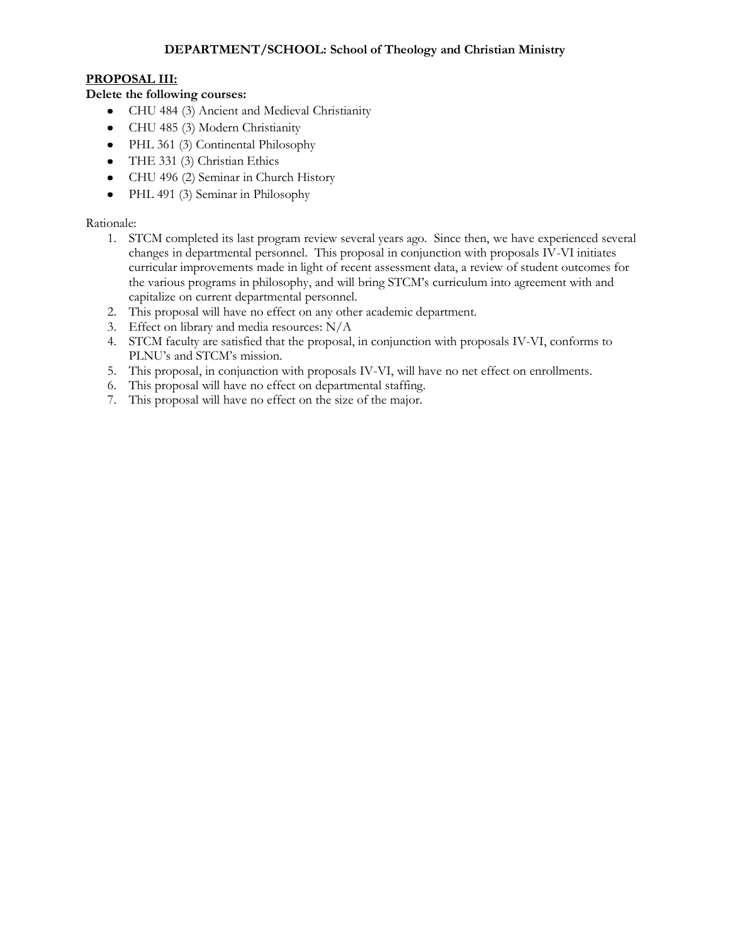# **PROPOSAL III:**

# **Delete the following courses:**

- $\bullet$ CHU 484 (3) Ancient and Medieval Christianity
- CHU 485 (3) Modern Christianity
- PHL 361 (3) Continental Philosophy
- $\bullet$ THE 331 (3) Christian Ethics
- CHU 496 (2) Seminar in Church History
- PHL 491 (3) Seminar in Philosophy

- 1. STCM completed its last program review several years ago. Since then, we have experienced several changes in departmental personnel. This proposal in conjunction with proposals IV-VI initiates curricular improvements made in light of recent assessment data, a review of student outcomes for the various programs in philosophy, and will bring STCM's curriculum into agreement with and capitalize on current departmental personnel.
- 2. This proposal will have no effect on any other academic department.
- 3. Effect on library and media resources: N/A
- 4. STCM faculty are satisfied that the proposal, in conjunction with proposals IV-VI, conforms to PLNU's and STCM's mission.
- 5. This proposal, in conjunction with proposals IV-VI, will have no net effect on enrollments.
- 6. This proposal will have no effect on departmental staffing.
- 7. This proposal will have no effect on the size of the major.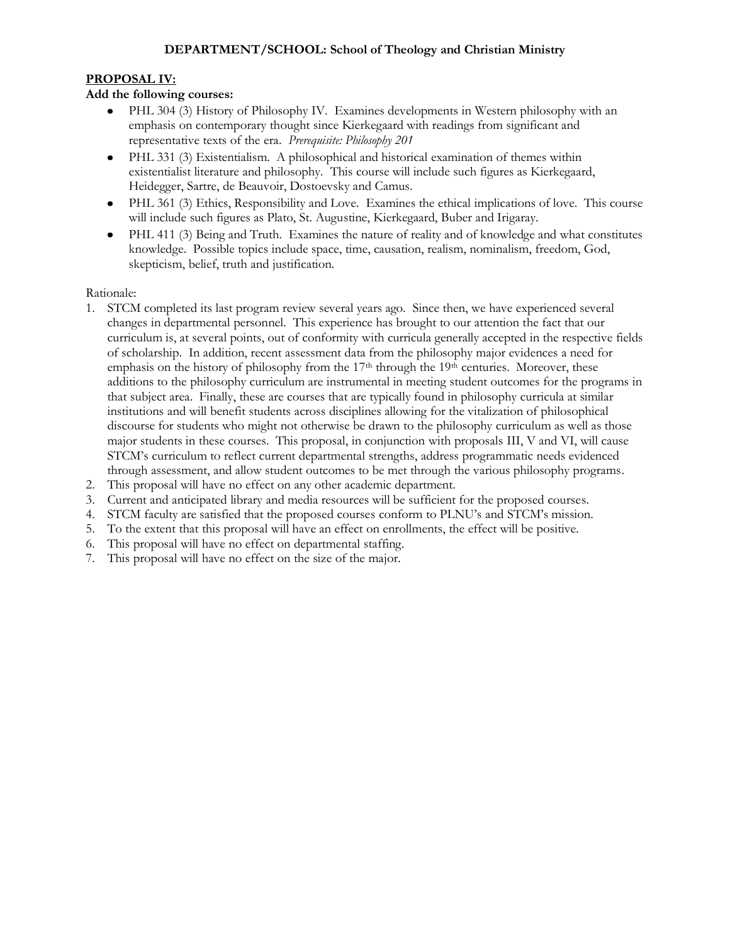# **PROPOSAL IV:**

# **Add the following courses:**

- PHL 304 (3) History of Philosophy IV. Examines developments in Western philosophy with an emphasis on contemporary thought since Kierkegaard with readings from significant and representative texts of the era. *Prerequisite: Philosophy 201*
- PHL 331 (3) Existentialism. A philosophical and historical examination of themes within existentialist literature and philosophy. This course will include such figures as Kierkegaard, Heidegger, Sartre, de Beauvoir, Dostoevsky and Camus.
- PHL 361 (3) Ethics, Responsibility and Love. Examines the ethical implications of love. This course will include such figures as Plato, St. Augustine, Kierkegaard, Buber and Irigaray.
- PHL 411 (3) Being and Truth. Examines the nature of reality and of knowledge and what constitutes knowledge. Possible topics include space, time, causation, realism, nominalism, freedom, God, skepticism, belief, truth and justification.

- 1. STCM completed its last program review several years ago. Since then, we have experienced several changes in departmental personnel. This experience has brought to our attention the fact that our curriculum is, at several points, out of conformity with curricula generally accepted in the respective fields of scholarship. In addition, recent assessment data from the philosophy major evidences a need for emphasis on the history of philosophy from the 17<sup>th</sup> through the 19<sup>th</sup> centuries. Moreover, these additions to the philosophy curriculum are instrumental in meeting student outcomes for the programs in that subject area. Finally, these are courses that are typically found in philosophy curricula at similar institutions and will benefit students across disciplines allowing for the vitalization of philosophical discourse for students who might not otherwise be drawn to the philosophy curriculum as well as those major students in these courses. This proposal, in conjunction with proposals III, V and VI, will cause STCM's curriculum to reflect current departmental strengths, address programmatic needs evidenced through assessment, and allow student outcomes to be met through the various philosophy programs.
- 2. This proposal will have no effect on any other academic department.
- 3. Current and anticipated library and media resources will be sufficient for the proposed courses.
- 4. STCM faculty are satisfied that the proposed courses conform to PLNU's and STCM's mission.
- 5. To the extent that this proposal will have an effect on enrollments, the effect will be positive.
- 6. This proposal will have no effect on departmental staffing.
- 7. This proposal will have no effect on the size of the major.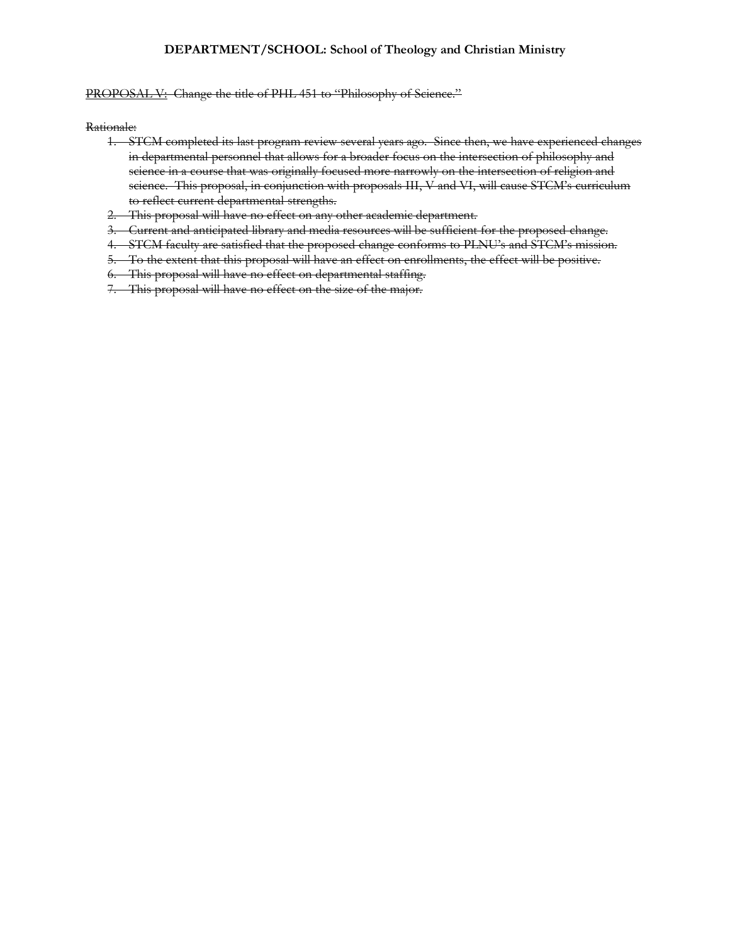#### PROPOSAL V: Change the title of PHL 451 to "Philosophy of Science."

- 1. STCM completed its last program review several years ago. Since then, we have experienced changes in departmental personnel that allows for a broader focus on the intersection of philosophy and science in a course that was originally focused more narrowly on the intersection of religion and science. This proposal, in conjunction with proposals III, V and VI, will cause STCM's curriculum to reflect current departmental strengths.
- 2. This proposal will have no effect on any other academic department.
- 3. Current and anticipated library and media resources will be sufficient for the proposed change.
- 4. STCM faculty are satisfied that the proposed change conforms to PLNU's and STCM's mission.
- 5. To the extent that this proposal will have an effect on enrollments, the effect will be positive.
- 6. This proposal will have no effect on departmental staffing.
- 7. This proposal will have no effect on the size of the major.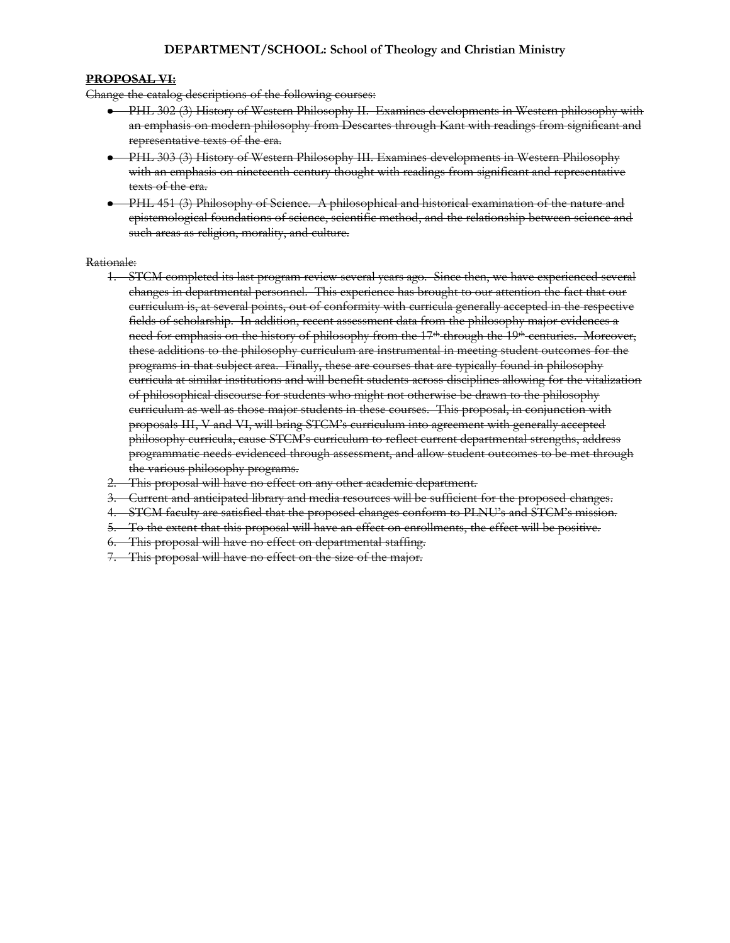#### **PROPOSAL VI:**

Change the catalog descriptions of the following courses:

- PHL 302 (3) History of Western Philosophy II. Examines developments in Western philosophy with an emphasis on modern philosophy from Descartes through Kant with readings from significant and representative texts of the era.
- PHL 303 (3) History of Western Philosophy III. Examines developments in Western Philosophy with an emphasis on nineteenth century thought with readings from significant and representative texts of the era.
- PHL 451 (3) Philosophy of Science. A philosophical and historical examination of the nature and epistemological foundations of science, scientific method, and the relationship between science and such areas as religion, morality, and culture.

- 1. STCM completed its last program review several years ago. Since then, we have experienced several changes in departmental personnel. This experience has brought to our attention the fact that our curriculum is, at several points, out of conformity with curricula generally accepted in the respective fields of scholarship. In addition, recent assessment data from the philosophy major evidences a need for emphasis on the history of philosophy from the 17<sup>th</sup> through the 19<sup>th</sup> centuries. Moreover, these additions to the philosophy curriculum are instrumental in meeting student outcomes for the programs in that subject area. Finally, these are courses that are typically found in philosophy curricula at similar institutions and will benefit students across disciplines allowing for the vitalization of philosophical discourse for students who might not otherwise be drawn to the philosophy curriculum as well as those major students in these courses. This proposal, in conjunction with proposals III, V and VI, will bring STCM's curriculum into agreement with generally accepted philosophy curricula, cause STCM's curriculum to reflect current departmental strengths, address programmatic needs evidenced through assessment, and allow student outcomes to be met through the various philosophy programs.
- 2. This proposal will have no effect on any other academic department.
- 3. Current and anticipated library and media resources will be sufficient for the proposed changes.
- 4. STCM faculty are satisfied that the proposed changes conform to PLNU's and STCM's mission.
- 5. To the extent that this proposal will have an effect on enrollments, the effect will be positive.
- 6. This proposal will have no effect on departmental staffing.
- 7. This proposal will have no effect on the size of the major.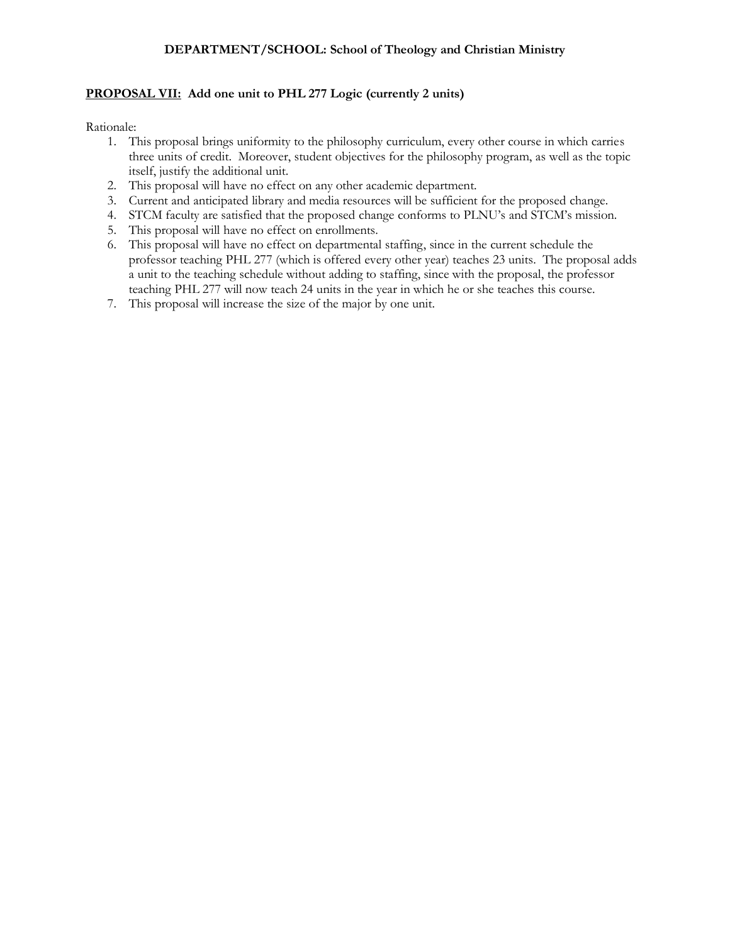# **PROPOSAL VII: Add one unit to PHL 277 Logic (currently 2 units)**

- 1. This proposal brings uniformity to the philosophy curriculum, every other course in which carries three units of credit. Moreover, student objectives for the philosophy program, as well as the topic itself, justify the additional unit.
- 2. This proposal will have no effect on any other academic department.
- 3. Current and anticipated library and media resources will be sufficient for the proposed change.
- 4. STCM faculty are satisfied that the proposed change conforms to PLNU's and STCM's mission.
- 5. This proposal will have no effect on enrollments.
- 6. This proposal will have no effect on departmental staffing, since in the current schedule the professor teaching PHL 277 (which is offered every other year) teaches 23 units. The proposal adds a unit to the teaching schedule without adding to staffing, since with the proposal, the professor teaching PHL 277 will now teach 24 units in the year in which he or she teaches this course.
- 7. This proposal will increase the size of the major by one unit.